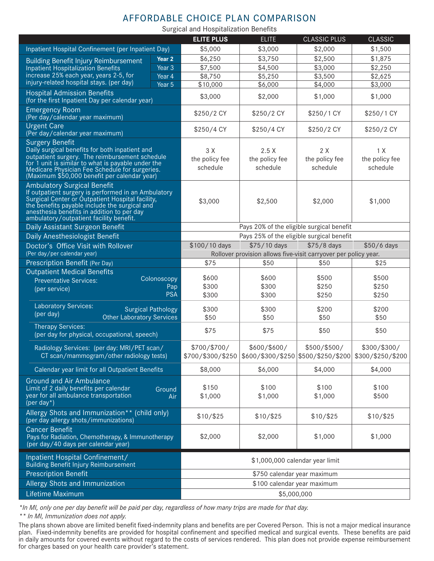## AFFORDABLE CHOICE PLAN COMPARISON

Surgical and Hospitalization Benefits

|                                                                                                                                                                                                                                                                                         |                   | <b>ELITE PLUS</b>                                               | <b>ELITE</b>                                                           | <b>CLASSIC PLUS</b>               | <b>CLASSIC</b>                    |  |  |
|-----------------------------------------------------------------------------------------------------------------------------------------------------------------------------------------------------------------------------------------------------------------------------------------|-------------------|-----------------------------------------------------------------|------------------------------------------------------------------------|-----------------------------------|-----------------------------------|--|--|
| Inpatient Hospital Confinement (per Inpatient Day)                                                                                                                                                                                                                                      |                   | \$5,000                                                         | \$3,000                                                                | \$2,000                           | \$1,500                           |  |  |
| <b>Building Benefit Injury Reimbursement</b>                                                                                                                                                                                                                                            | Year <sub>2</sub> | \$6,250                                                         | \$3,750                                                                | \$2,500                           | \$1,875                           |  |  |
| <b>Inpatient Hospitalization Benefits</b>                                                                                                                                                                                                                                               | Year <sub>3</sub> | \$7,500                                                         | \$4,500                                                                | \$3,000                           | \$2,250                           |  |  |
| increase 25% each year, years 2-5, for                                                                                                                                                                                                                                                  | Year 4            | \$8,750                                                         | \$5,250                                                                | \$3,500                           | \$2,625                           |  |  |
| injury-related hospital stays. (per day)                                                                                                                                                                                                                                                | Year 5            | \$10,000                                                        | \$6,000                                                                | \$4,000                           | \$3,000                           |  |  |
| <b>Hospital Admission Benefits</b><br>(for the first Inpatient Day per calendar year)                                                                                                                                                                                                   |                   | \$3,000                                                         | \$2,000                                                                | \$1,000                           | \$1,000                           |  |  |
| <b>Emergency Room</b><br>(Per day/calendar year maximum)                                                                                                                                                                                                                                |                   | \$250/2 CY                                                      | \$250/2 CY                                                             | \$250/1 CY                        | \$250/1 CY                        |  |  |
| <b>Urgent Care</b><br>(Per day/calendar year maximum)                                                                                                                                                                                                                                   |                   | \$250/4 CY                                                      | \$250/4 CY                                                             | \$250/2 CY                        | \$250/2 CY                        |  |  |
| <b>Surgery Benefit</b><br>Daily surgical benefits for both inpatient and<br>outpatient surgery. The reimbursement schedule<br>for 1 unit is similar to what is payable under the<br>Medicare Physician Fee Schedule for surgeries.<br>(Maximum \$50,000 benefit per calendar year)      |                   | 3 X<br>the policy fee<br>schedule                               | 2.5X<br>the policy fee<br>schedule                                     | 2 X<br>the policy fee<br>schedule | 1 X<br>the policy fee<br>schedule |  |  |
| <b>Ambulatory Surgical Benefit</b><br>If outpatient surgery is performed in an Ambulatory<br>Surgical Center or Outpatient Hospital facility,<br>the benefits payable include the surgical and<br>anesthesia benefits in addition to per day<br>ambulatory/outpatient facility benefit. |                   | \$3,000                                                         | \$2,500                                                                | \$2,000                           | \$1,000                           |  |  |
| Daily Assistant Surgeon Benefit                                                                                                                                                                                                                                                         |                   | Pays 20% of the eligible surgical benefit                       |                                                                        |                                   |                                   |  |  |
| Daily Anesthesiologist Benefit                                                                                                                                                                                                                                                          |                   |                                                                 | Pays 25% of the eligible surgical benefit                              |                                   |                                   |  |  |
| Doctor's Office Visit with Rollover                                                                                                                                                                                                                                                     |                   | \$100/10 days                                                   | \$75/10 days                                                           | \$75/8 days                       | \$50/6 days                       |  |  |
| (Per day/per calendar year)                                                                                                                                                                                                                                                             |                   | Rollover provision allows five-visit carryover per policy year. |                                                                        |                                   |                                   |  |  |
| Prescription Benefit (Per Day)                                                                                                                                                                                                                                                          |                   | \$75                                                            | \$50                                                                   | \$50                              | \$25                              |  |  |
| <b>Outpatient Medical Benefits</b><br><b>Preventative Services:</b>                                                                                                                                                                                                                     | Colonoscopy       | \$600                                                           | \$600                                                                  | \$500                             | \$500                             |  |  |
| Pap<br>(per service)<br><b>PSA</b>                                                                                                                                                                                                                                                      |                   | \$300                                                           | \$300                                                                  | \$250                             | \$250                             |  |  |
|                                                                                                                                                                                                                                                                                         |                   | \$300                                                           | \$300                                                                  | \$250                             | \$250                             |  |  |
| <b>Laboratory Services:</b><br><b>Surgical Pathology</b><br>(per day)<br><b>Other Laboratory Services</b>                                                                                                                                                                               |                   | \$300<br>\$50                                                   | \$300<br>\$50                                                          | \$200<br>\$50                     | \$200<br>\$50                     |  |  |
| Therapy Services:<br>(per day for physical, occupational, speech)                                                                                                                                                                                                                       |                   | \$75                                                            | \$75                                                                   | \$50                              | \$50                              |  |  |
| Radiology Services: (per day: MRI/PET scan/<br>CT scan/mammogram/other radiology tests)                                                                                                                                                                                                 |                   | \$700/\$700/<br>\$700/\$300/\$250                               | \$600/\$600/<br> \$600/\$300/\$250 \$500/\$250/\$200 \$300/\$250/\$200 | \$500/\$500/                      | \$300/\$300/                      |  |  |
| Calendar year limit for all Outpatient Benefits                                                                                                                                                                                                                                         |                   | \$8,000                                                         | \$6,000                                                                | \$4,000                           | \$4,000                           |  |  |
| <b>Ground and Air Ambulance</b><br>Limit of 2 daily benefits per calendar<br>Ground<br>year for all ambulance transportation<br>Air<br>(per day $*$ )                                                                                                                                   |                   | \$150<br>\$1,000                                                | \$100<br>\$1,000                                                       | \$100<br>\$1,000                  | \$100<br>\$500                    |  |  |
| Allergy Shots and Immunization** (child only)<br>(per day allergy shots/immunizations)                                                                                                                                                                                                  |                   | \$10/\$25                                                       | \$10/\$25                                                              | \$10/\$25                         | $$10/$ \$25                       |  |  |
| <b>Cancer Benefit</b><br>Pays for Radiation, Chemotherapy, & Immunotherapy<br>(per day/40 days per calendar year)                                                                                                                                                                       |                   | \$2,000                                                         | \$2,000                                                                | \$1,000                           | \$1,000                           |  |  |
| Inpatient Hospital Confinement/<br>Building Benefit Injury Reimbursement                                                                                                                                                                                                                |                   | \$1,000,000 calendar year limit                                 |                                                                        |                                   |                                   |  |  |
| <b>Prescription Benefit</b>                                                                                                                                                                                                                                                             |                   | \$750 calendar year maximum                                     |                                                                        |                                   |                                   |  |  |
| Allergy Shots and Immunization                                                                                                                                                                                                                                                          |                   | \$100 calendar year maximum                                     |                                                                        |                                   |                                   |  |  |
| Lifetime Maximum                                                                                                                                                                                                                                                                        |                   | \$5,000,000                                                     |                                                                        |                                   |                                   |  |  |
|                                                                                                                                                                                                                                                                                         |                   |                                                                 |                                                                        |                                   |                                   |  |  |

*\*In MI, only one per day benefit will be paid per day, regardless of how many trips are made for that day.* 

*\*\* In MI, Immunization does not apply.*

The plans shown above are limited benefit fixed-indemnity plans and benefits are per Covered Person. This is not a major medical insurance plan. Fixed-indemnity benefits are provided for hospital confinement and specified medical and surgical events. These benefits are paid in daily amounts for covered events without regard to the costs of services rendered. This plan does not provide expense reimbursement for charges based on your health care provider's statement.